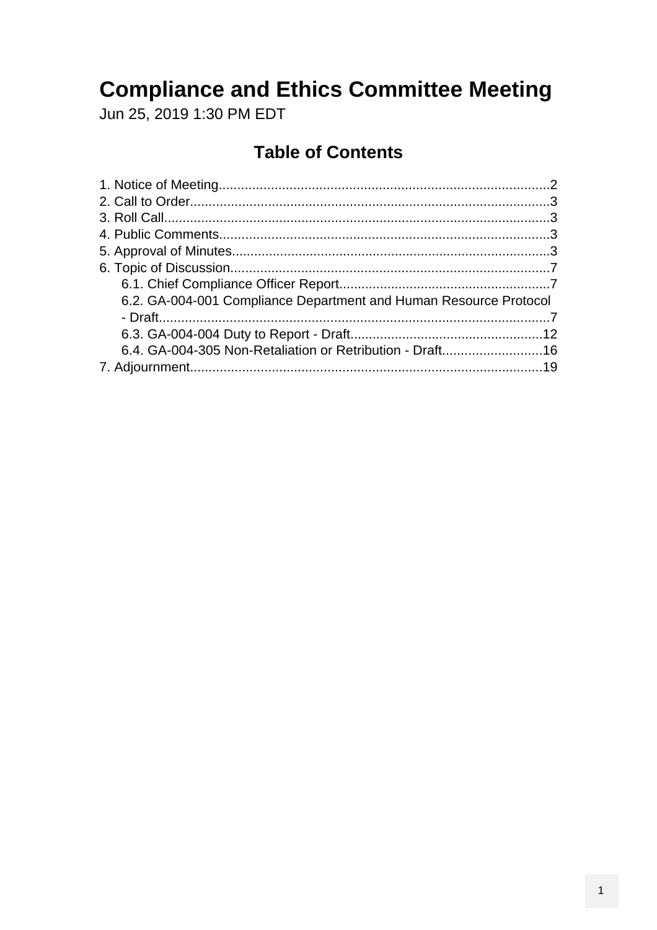# **Compliance and Ethics Committee Meeting**

Jun 25, 2019 1:30 PM EDT

## **Table of Contents**

| 6.2. GA-004-001 Compliance Department and Human Resource Protocol |  |
|-------------------------------------------------------------------|--|
|                                                                   |  |
|                                                                   |  |
|                                                                   |  |
|                                                                   |  |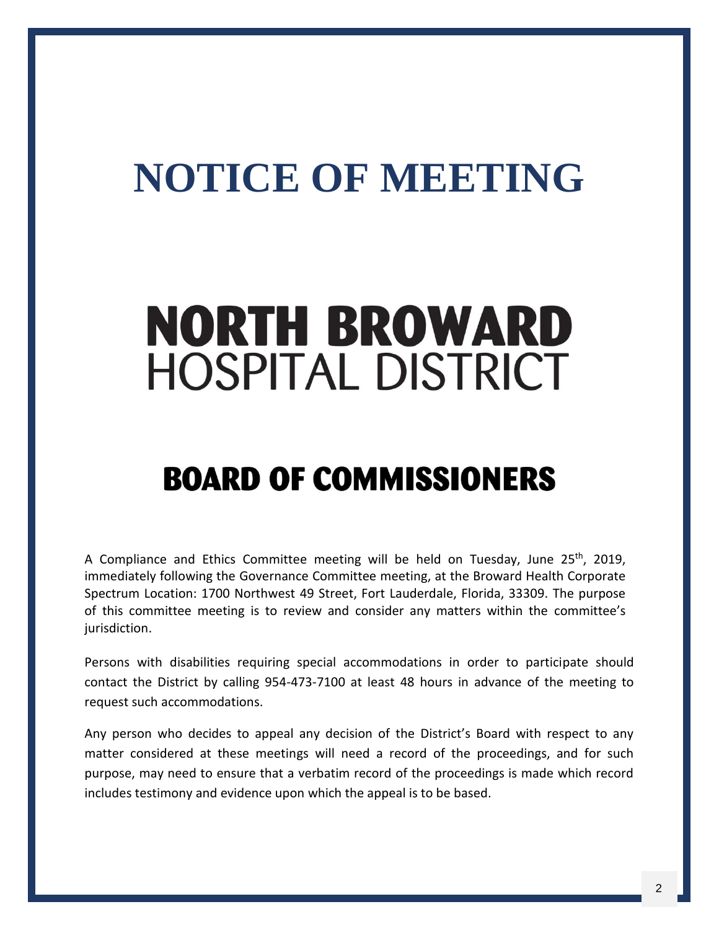# <span id="page-1-0"></span>**NOTICE OF MEETING**

# **NORTH BROWARD HOSPITAL DISTRICT**

# **BOARD OF COMMISSIONERS**

A Compliance and Ethics Committee meeting will be held on Tuesday, June 25<sup>th</sup>, 2019, immediately following the Governance Committee meeting, at the Broward Health Corporate Spectrum Location: 1700 Northwest 49 Street, Fort Lauderdale, Florida, 33309. The purpose of this committee meeting is to review and consider any matters within the committee's jurisdiction.

Persons with disabilities requiring special accommodations in order to participate should contact the District by calling 954-473-7100 at least 48 hours in advance of the meeting to request such accommodations.

Any person who decides to appeal any decision of the District's Board with respect to any matter considered at these meetings will need a record of the proceedings, and for such purpose, may need to ensure that a verbatim record of the proceedings is made which record includes testimony and evidence upon which the appeal is to be based.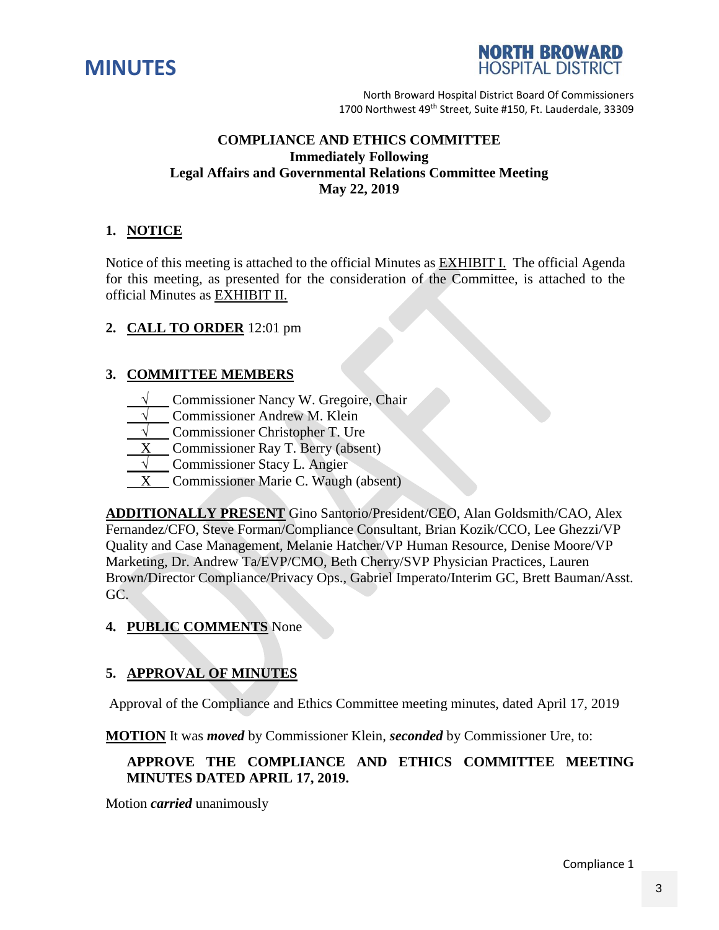<span id="page-2-0"></span>



#### **COMPLIANCE AND ETHICS COMMITTEE Immediately Following Legal Affairs and Governmental Relations Committee Meeting May 22, 2019**

#### **1. NOTICE**

Notice of this meeting is attached to the official Minutes as EXHIBIT I. The official Agenda for this meeting, as presented for the consideration of the Committee, is attached to the official Minutes as EXHIBIT II.

#### **2. CALL TO ORDER** 12:01 pm

#### **3. COMMITTEE MEMBERS**

- **Commissioner Nancy W. Gregoire, Chair**
- **Commissioner Andrew M. Klein**
- **Commissioner Christopher T. Ure**
- **Commissioner Ray T. Berry (absent)**
- **Commissioner Stacy L. Angier**
- X Commissioner Marie C. Waugh (absent)

**ADDITIONALLY PRESENT** Gino Santorio/President/CEO, Alan Goldsmith/CAO, Alex Fernandez/CFO, Steve Forman/Compliance Consultant, Brian Kozik/CCO, Lee Ghezzi/VP Quality and Case Management, Melanie Hatcher/VP Human Resource, Denise Moore/VP Marketing, Dr. Andrew Ta/EVP/CMO, Beth Cherry/SVP Physician Practices, Lauren Brown/Director Compliance/Privacy Ops., Gabriel Imperato/Interim GC, Brett Bauman/Asst. GC.

#### **4. PUBLIC COMMENTS** None

#### **5. APPROVAL OF MINUTES**

Approval of the Compliance and Ethics Committee meeting minutes, dated April 17, 2019

**MOTION** It was *moved* by Commissioner Klein, *seconded* by Commissioner Ure, to:

#### **APPROVE THE COMPLIANCE AND ETHICS COMMITTEE MEETING MINUTES DATED APRIL 17, 2019.**

Motion *carried* unanimously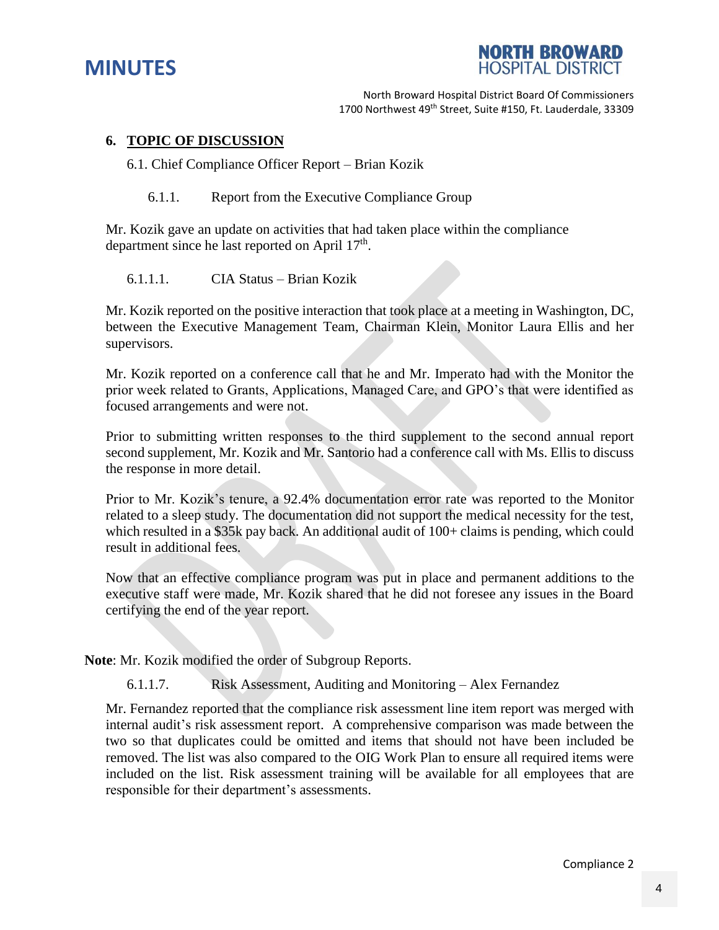



#### **6. TOPIC OF DISCUSSION**

6.1. Chief Compliance Officer Report – Brian Kozik

6.1.1. Report from the Executive Compliance Group

Mr. Kozik gave an update on activities that had taken place within the compliance department since he last reported on April 17<sup>th</sup>.

6.1.1.1. CIA Status – Brian Kozik

Mr. Kozik reported on the positive interaction that took place at a meeting in Washington, DC, between the Executive Management Team, Chairman Klein, Monitor Laura Ellis and her supervisors.

Mr. Kozik reported on a conference call that he and Mr. Imperato had with the Monitor the prior week related to Grants, Applications, Managed Care, and GPO's that were identified as focused arrangements and were not.

Prior to submitting written responses to the third supplement to the second annual report second supplement, Mr. Kozik and Mr. Santorio had a conference call with Ms. Ellis to discuss the response in more detail.

Prior to Mr. Kozik's tenure, a 92.4% documentation error rate was reported to the Monitor related to a sleep study. The documentation did not support the medical necessity for the test, which resulted in a \$35k pay back. An additional audit of 100+ claims is pending, which could result in additional fees.

Now that an effective compliance program was put in place and permanent additions to the executive staff were made, Mr. Kozik shared that he did not foresee any issues in the Board certifying the end of the year report.

**Note**: Mr. Kozik modified the order of Subgroup Reports.

6.1.1.7. Risk Assessment, Auditing and Monitoring – Alex Fernandez

Mr. Fernandez reported that the compliance risk assessment line item report was merged with internal audit's risk assessment report. A comprehensive comparison was made between the two so that duplicates could be omitted and items that should not have been included be removed. The list was also compared to the OIG Work Plan to ensure all required items were included on the list. Risk assessment training will be available for all employees that are responsible for their department's assessments.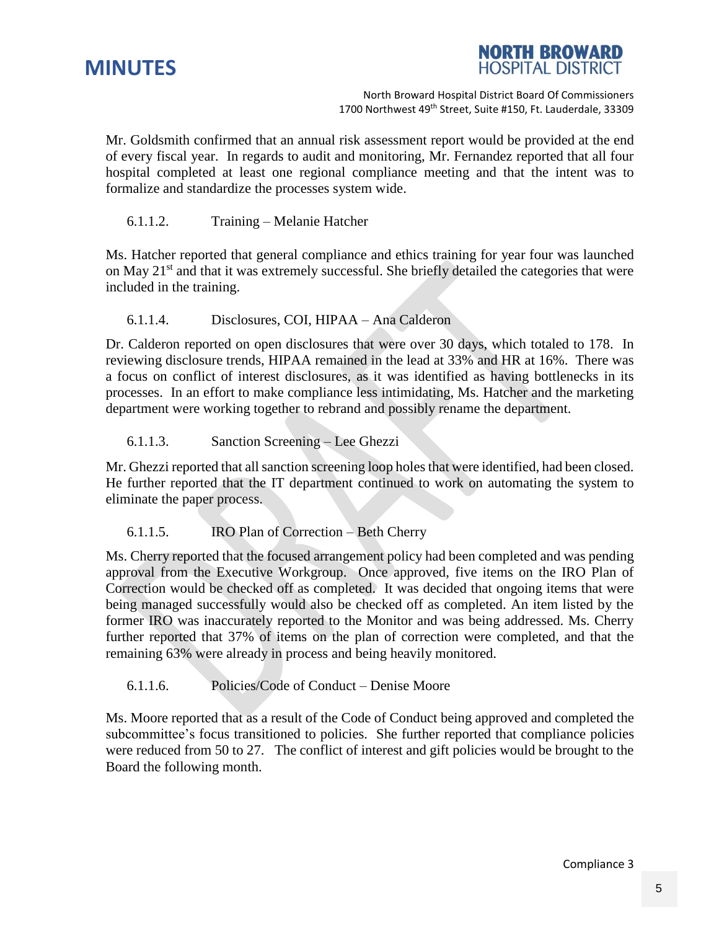



Mr. Goldsmith confirmed that an annual risk assessment report would be provided at the end of every fiscal year. In regards to audit and monitoring, Mr. Fernandez reported that all four hospital completed at least one regional compliance meeting and that the intent was to formalize and standardize the processes system wide.

#### 6.1.1.2. Training – Melanie Hatcher

Ms. Hatcher reported that general compliance and ethics training for year four was launched on May 21<sup>st</sup> and that it was extremely successful. She briefly detailed the categories that were included in the training.

#### 6.1.1.4. Disclosures, COI, HIPAA – Ana Calderon

Dr. Calderon reported on open disclosures that were over 30 days, which totaled to 178. In reviewing disclosure trends, HIPAA remained in the lead at 33% and HR at 16%. There was a focus on conflict of interest disclosures, as it was identified as having bottlenecks in its processes. In an effort to make compliance less intimidating, Ms. Hatcher and the marketing department were working together to rebrand and possibly rename the department.

#### 6.1.1.3. Sanction Screening – Lee Ghezzi

Mr. Ghezzi reported that all sanction screening loop holes that were identified, had been closed. He further reported that the IT department continued to work on automating the system to eliminate the paper process.

#### 6.1.1.5. IRO Plan of Correction – Beth Cherry

Ms. Cherry reported that the focused arrangement policy had been completed and was pending approval from the Executive Workgroup. Once approved, five items on the IRO Plan of Correction would be checked off as completed. It was decided that ongoing items that were being managed successfully would also be checked off as completed. An item listed by the former IRO was inaccurately reported to the Monitor and was being addressed. Ms. Cherry further reported that 37% of items on the plan of correction were completed, and that the remaining 63% were already in process and being heavily monitored.

#### 6.1.1.6. Policies/Code of Conduct – Denise Moore

Ms. Moore reported that as a result of the Code of Conduct being approved and completed the subcommittee's focus transitioned to policies. She further reported that compliance policies were reduced from 50 to 27. The conflict of interest and gift policies would be brought to the Board the following month.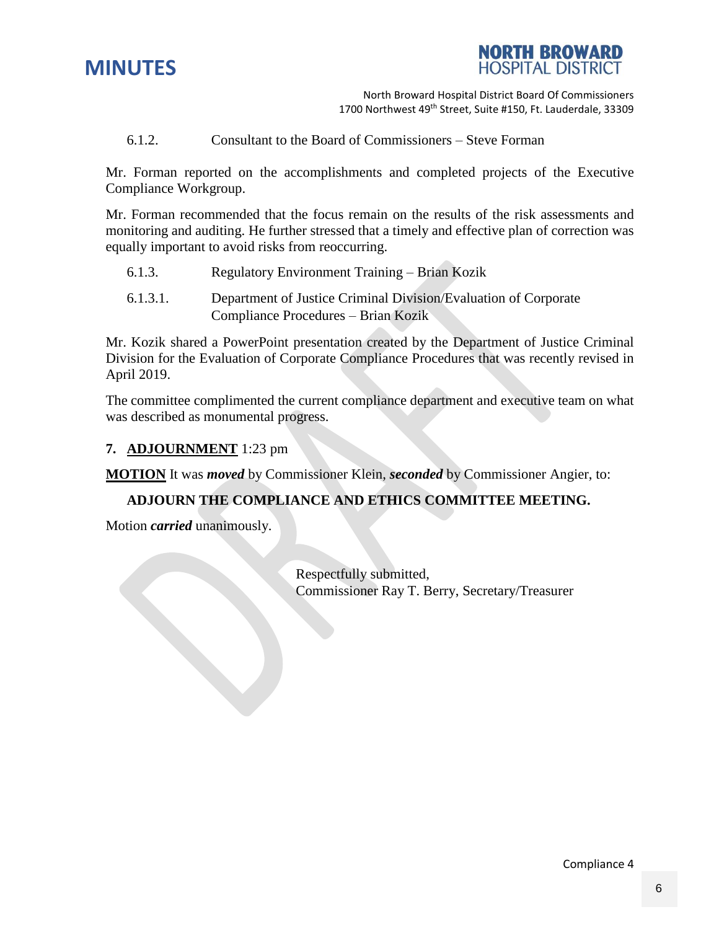



6.1.2. Consultant to the Board of Commissioners – Steve Forman

Mr. Forman reported on the accomplishments and completed projects of the Executive Compliance Workgroup.

Mr. Forman recommended that the focus remain on the results of the risk assessments and monitoring and auditing. He further stressed that a timely and effective plan of correction was equally important to avoid risks from reoccurring.

- 6.1.3. Regulatory Environment Training Brian Kozik
- 6.1.3.1. Department of Justice Criminal Division/Evaluation of Corporate Compliance Procedures – Brian Kozik

Mr. Kozik shared a PowerPoint presentation created by the Department of Justice Criminal Division for the Evaluation of Corporate Compliance Procedures that was recently revised in April 2019.

The committee complimented the current compliance department and executive team on what was described as monumental progress.

#### **7. ADJOURNMENT** 1:23 pm

**MOTION** It was *moved* by Commissioner Klein, *seconded* by Commissioner Angier, to:

#### **ADJOURN THE COMPLIANCE AND ETHICS COMMITTEE MEETING.**

Motion *carried* unanimously.

Respectfully submitted, Commissioner Ray T. Berry, Secretary/Treasurer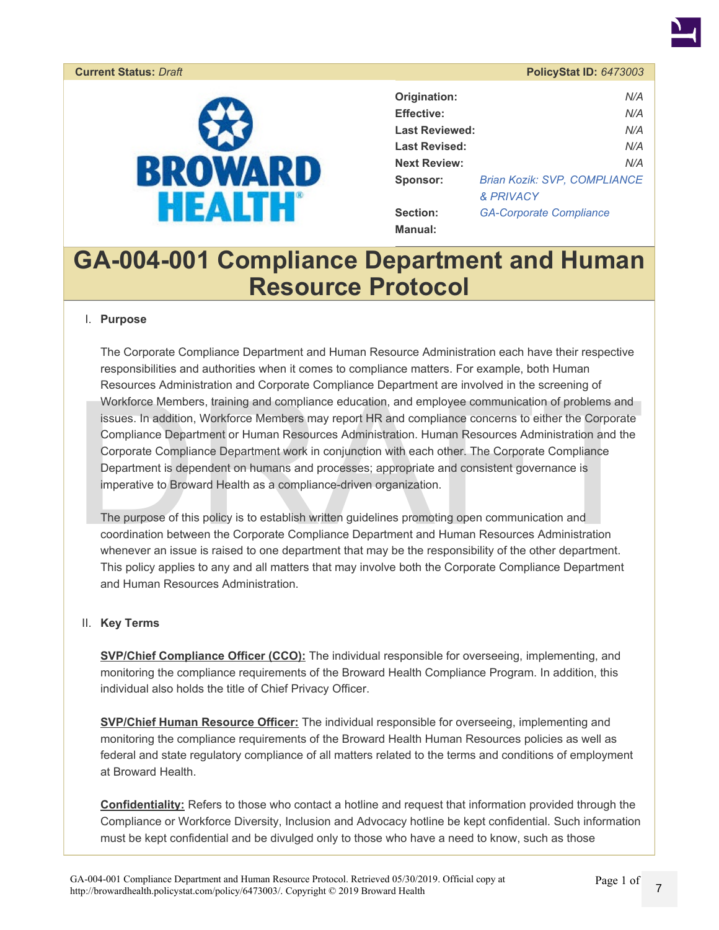<span id="page-6-0"></span>

| Origination:          | N/A                                 |
|-----------------------|-------------------------------------|
| <b>Effective:</b>     | N/A                                 |
| <b>Last Reviewed:</b> | N/A                                 |
| <b>Last Revised:</b>  | N/A                                 |
| <b>Next Review:</b>   | N/A                                 |
| Sponsor:              | <b>Brian Kozik: SVP, COMPLIANCE</b> |
|                       | & PRIVACY                           |
| Section:              | <b>GA-Corporate Compliance</b>      |
| Manual:               |                                     |

## **GA-004-001 Compliance Department and Human Resource Protocol**

#### I. **Purpose**

Resources Administration and Corporate Compilance Department are involved in the screening of<br>Workforce Members, training and compliance education, and employee communication of problems and<br>issues. In addition, Workforce The Corporate Compliance Department and Human Resource Administration each have their respective responsibilities and authorities when it comes to compliance matters. For example, both Human Resources Administration and Corporate Compliance Department are involved in the screening of Workforce Members, training and compliance education, and employee communication of problems and issues. In addition, Workforce Members may report HR and compliance concerns to either the Corporate Compliance Department or Human Resources Administration. Human Resources Administration and the Corporate Compliance Department work in conjunction with each other. The Corporate Compliance Department is dependent on humans and processes; appropriate and consistent governance is imperative to Broward Health as a compliance-driven organization.

The purpose of this policy is to establish written guidelines promoting open communication and coordination between the Corporate Compliance Department and Human Resources Administration whenever an issue is raised to one department that may be the responsibility of the other department. This policy applies to any and all matters that may involve both the Corporate Compliance Department and Human Resources Administration.

#### II. **Key Terms**

**SVP/Chief Compliance Officer (CCO):** The individual responsible for overseeing, implementing, and monitoring the compliance requirements of the Broward Health Compliance Program. In addition, this individual also holds the title of Chief Privacy Officer.

**SVP/Chief Human Resource Officer:** The individual responsible for overseeing, implementing and monitoring the compliance requirements of the Broward Health Human Resources policies as well as federal and state regulatory compliance of all matters related to the terms and conditions of employment at Broward Health.

**Confidentiality:** Refers to those who contact a hotline and request that information provided through the Compliance or Workforce Diversity, Inclusion and Advocacy hotline be kept confidential. Such information must be kept confidential and be divulged only to those who have a need to know, such as those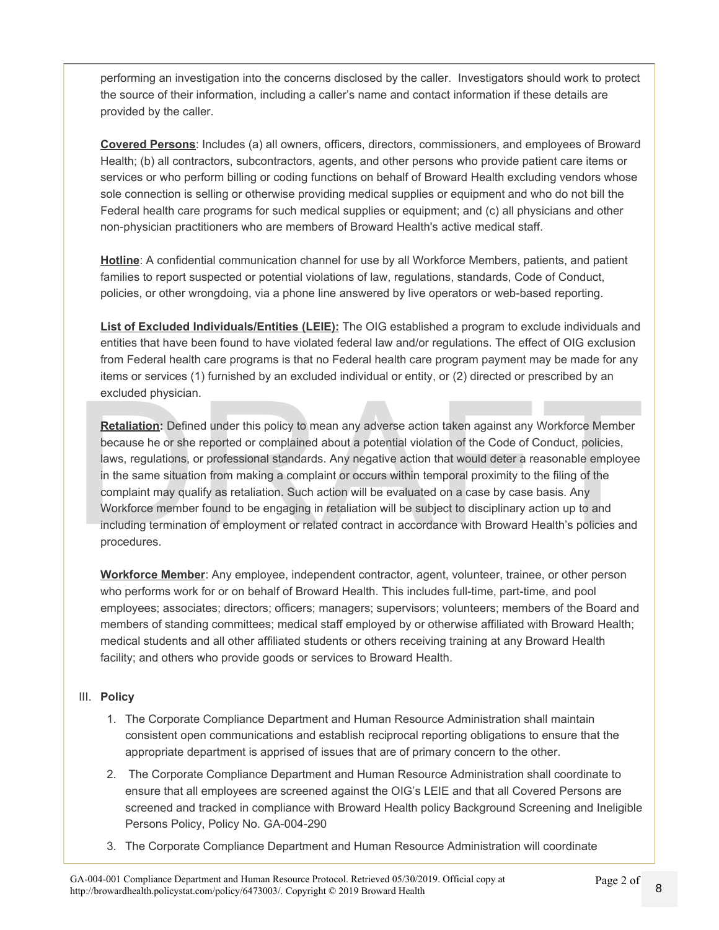performing an investigation into the concerns disclosed by the caller. Investigators should work to protect the source of their information, including a caller's name and contact information if these details are provided by the caller.

**Covered Persons**: Includes (a) all owners, officers, directors, commissioners, and employees of Broward Health; (b) all contractors, subcontractors, agents, and other persons who provide patient care items or services or who perform billing or coding functions on behalf of Broward Health excluding vendors whose sole connection is selling or otherwise providing medical supplies or equipment and who do not bill the Federal health care programs for such medical supplies or equipment; and (c) all physicians and other non-physician practitioners who are members of Broward Health's active medical staff.

Hotline: A confidential communication channel for use by all Workforce Members, patients, and patient families to report suspected or potential violations of law, regulations, standards, Code of Conduct, policies, or other wrongdoing, via a phone line answered by live operators or web-based reporting.

**List of Excluded Individuals/Entities (LEIE):** The OIG established a program to exclude individuals and entities that have been found to have violated federal law and/or regulations. The effect of OIG exclusion from Federal health care programs is that no Federal health care program payment may be made for any items or services (1) furnished by an excluded individual or entity, or (2) directed or prescribed by an excluded physician.

excluded physician.<br> **Retaliation:** Defined under this policy to mean any adverse action taken against any Workforce Member<br>
because he or she reported or complained about a potential violation of the Code of Conduct, poli **Retaliation:** Defined under this policy to mean any adverse action taken against any Workforce Member because he or she reported or complained about a potential violation of the Code of Conduct, policies, laws, regulations, or professional standards. Any negative action that would deter a reasonable employee in the same situation from making a complaint or occurs within temporal proximity to the filing of the complaint may qualify as retaliation. Such action will be evaluated on a case by case basis. Any Workforce member found to be engaging in retaliation will be subject to disciplinary action up to and including termination of employment or related contract in accordance with Broward Health's policies and procedures.

**Workforce Member**: Any employee, independent contractor, agent, volunteer, trainee, or other person who performs work for or on behalf of Broward Health. This includes full-time, part-time, and pool employees; associates; directors; officers; managers; supervisors; volunteers; members of the Board and members of standing committees; medical staff employed by or otherwise affiliated with Broward Health; medical students and all other affiliated students or others receiving training at any Broward Health facility; and others who provide goods or services to Broward Health.

#### III. **Policy**

- 1. The Corporate Compliance Department and Human Resource Administration shall maintain consistent open communications and establish reciprocal reporting obligations to ensure that the appropriate department is apprised of issues that are of primary concern to the other.
- 2. The Corporate Compliance Department and Human Resource Administration shall coordinate to ensure that all employees are screened against the OIG's LEIE and that all Covered Persons are screened and tracked in compliance with Broward Health policy Background Screening and Ineligible Persons Policy, Policy No. GA-004-290
- 3. The Corporate Compliance Department and Human Resource Administration will coordinate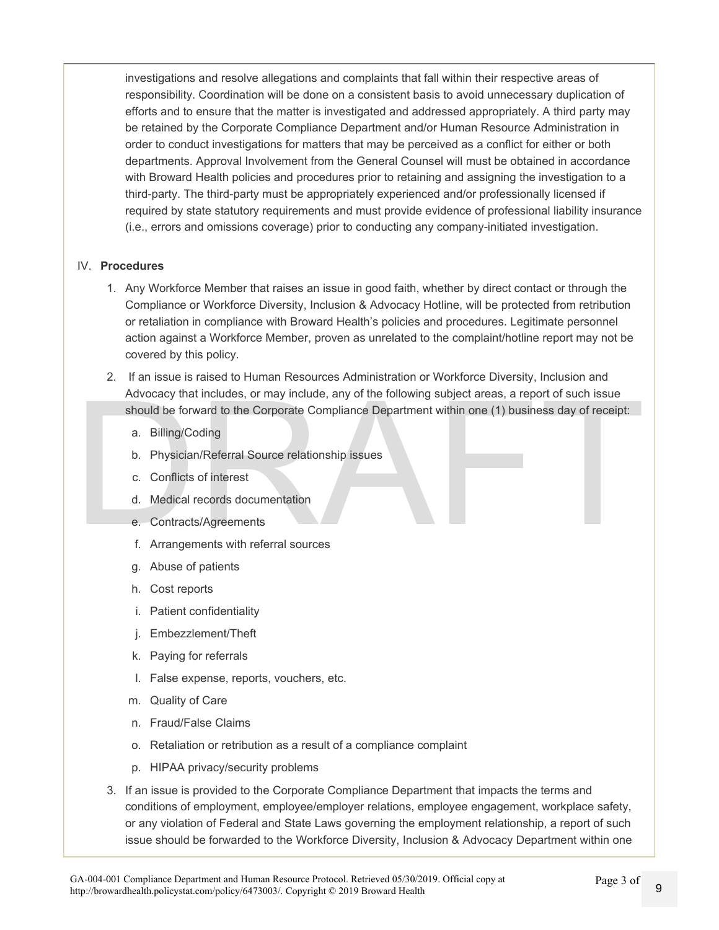investigations and resolve allegations and complaints that fall within their respective areas of responsibility. Coordination will be done on a consistent basis to avoid unnecessary duplication of efforts and to ensure that the matter is investigated and addressed appropriately. A third party may be retained by the Corporate Compliance Department and/or Human Resource Administration in order to conduct investigations for matters that may be perceived as a conflict for either or both departments. Approval Involvement from the General Counsel will must be obtained in accordance with Broward Health policies and procedures prior to retaining and assigning the investigation to a third-party. The third-party must be appropriately experienced and/or professionally licensed if required by state statutory requirements and must provide evidence of professional liability insurance (i.e., errors and omissions coverage) prior to conducting any company-initiated investigation.

#### IV. **Procedures**

- 1. Any Workforce Member that raises an issue in good faith, whether by direct contact or through the Compliance or Workforce Diversity, Inclusion & Advocacy Hotline, will be protected from retribution or retaliation in compliance with Broward Health's policies and procedures. Legitimate personnel action against a Workforce Member, proven as unrelated to the complaint/hotline report may not be covered by this policy.
- Advocacy that includes, or may include, any of the following subject areas, a report of such issue<br>should be forward to the Corporate Compliance Department within one (1) business day of receipt:<br>a. Billing/Coding<br>b. Physi 2. If an issue is raised to Human Resources Administration or Workforce Diversity, Inclusion and Advocacy that includes, or may include, any of the following subject areas, a report of such issue should be forward to the Corporate Compliance Department within one (1) business day of receipt:
	- a. Billing/Coding
	- b. Physician/Referral Source relationship issues
	- c. Conflicts of interest
	- d. Medical records documentation
	- e. Contracts/Agreements
	- f. Arrangements with referral sources
	- g. Abuse of patients
	- h. Cost reports
	- i. Patient confidentiality
	- j. Embezzlement/Theft
	- k. Paying for referrals
	- l. False expense, reports, vouchers, etc.
	- m. Quality of Care
	- n. Fraud/False Claims
	- o. Retaliation or retribution as a result of a compliance complaint
	- p. HIPAA privacy/security problems
	- 3. If an issue is provided to the Corporate Compliance Department that impacts the terms and conditions of employment, employee/employer relations, employee engagement, workplace safety, or any violation of Federal and State Laws governing the employment relationship, a report of such issue should be forwarded to the Workforce Diversity, Inclusion & Advocacy Department within one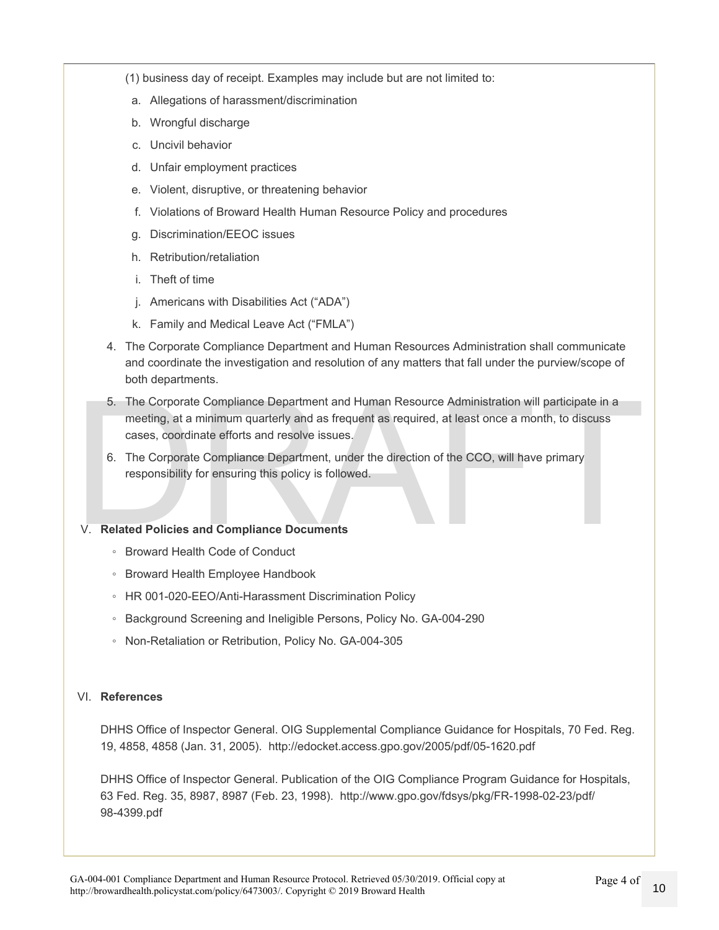- (1) business day of receipt. Examples may include but are not limited to:
	- a. Allegations of harassment/discrimination
	- b. Wrongful discharge
	- c. Uncivil behavior
	- d. Unfair employment practices
	- e. Violent, disruptive, or threatening behavior
	- f. Violations of Broward Health Human Resource Policy and procedures
	- g. Discrimination/EEOC issues
	- h. Retribution/retaliation
	- i. Theft of time
	- j. Americans with Disabilities Act ("ADA")
	- k. Family and Medical Leave Act ("FMLA")
- 4. The Corporate Compliance Department and Human Resources Administration shall communicate and coordinate the investigation and resolution of any matters that fall under the purview/scope of both departments.
- 5. The Corporate Compliance Department and Human Resource Administration will participate in a<br>meeting, at a minimum quarterly and as frequent as required, at least once a month, to discuss<br>cases, coordinate efforts and r 5. The Corporate Compliance Department and Human Resource Administration will participate in a meeting, at a minimum quarterly and as frequent as required, at least once a month, to discuss cases, coordinate efforts and resolve issues.
	- 6. The Corporate Compliance Department, under the direction of the CCO, will have primary responsibility for ensuring this policy is followed.

#### V. **Related Policies and Compliance Documents**

- Broward Health Code of Conduct
- Broward Health Employee Handbook
- HR 001-020-EEO/Anti-Harassment Discrimination Policy
- Background Screening and Ineligible Persons, Policy No. GA-004-290
- Non-Retaliation or Retribution, Policy No. GA-004-305

#### VI. **References**

DHHS Office of Inspector General. OIG Supplemental Compliance Guidance for Hospitals, 70 Fed. Reg. 19, 4858, 4858 (Jan. 31, 2005). http://edocket.access.gpo.gov/2005/pdf/05-1620.pdf

DHHS Office of Inspector General. Publication of the OIG Compliance Program Guidance for Hospitals, 63 Fed. Reg. 35, 8987, 8987 (Feb. 23, 1998). http://www.gpo.gov/fdsys/pkg/FR-1998-02-23/pdf/ 98-4399.pdf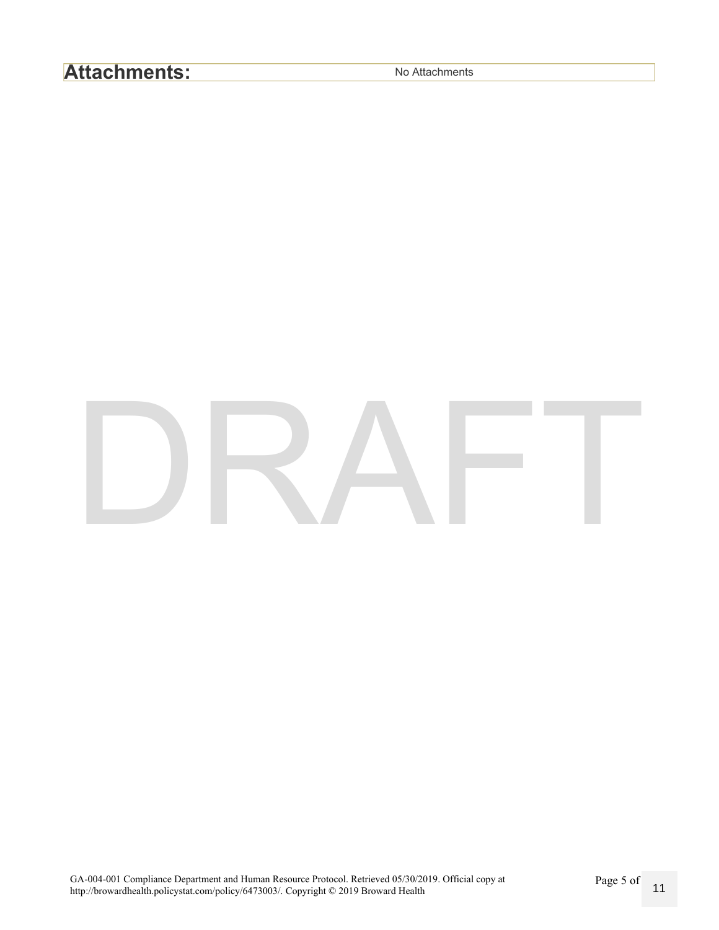## **Attachments:** No Attachments

# DRAFT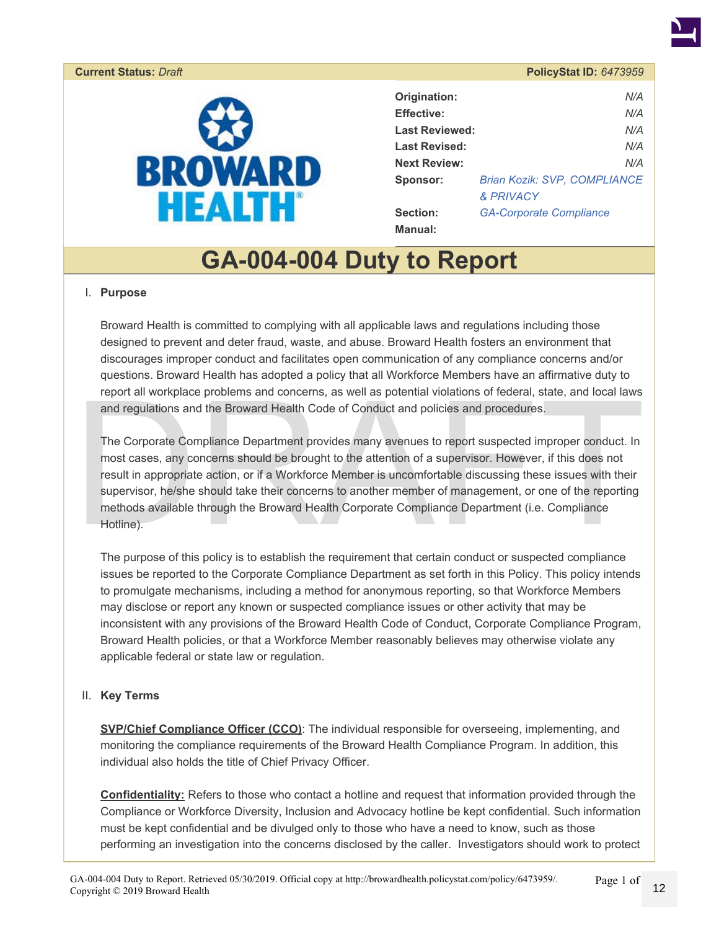#### <span id="page-11-0"></span>**Current Status:** *Draft* **PolicyStat ID:** *6473959*



| Origination:          | N/A                                 |
|-----------------------|-------------------------------------|
| <b>Effective:</b>     | N/A                                 |
| <b>Last Reviewed:</b> | N/A                                 |
| <b>Last Revised:</b>  | N/A                                 |
| <b>Next Review:</b>   | N/A                                 |
| Sponsor:              | <b>Brian Kozik: SVP, COMPLIANCE</b> |
|                       | <b>&amp; PRIVACY</b>                |
| Section:              | <b>GA-Corporate Compliance</b>      |
| <b>Manual:</b>        |                                     |

## **GA-004-004 Duty to Report**

#### I. **Purpose**

Broward Health is committed to complying with all applicable laws and regulations including those designed to prevent and deter fraud, waste, and abuse. Broward Health fosters an environment that discourages improper conduct and facilitates open communication of any compliance concerns and/or questions. Broward Health has adopted a policy that all Workforce Members have an affirmative duty to report all workplace problems and concerns, as well as potential violations of federal, state, and local laws and regulations and the Broward Health Code of Conduct and policies and procedures.

report all workplace problems and concerns, as well as potential violations of federal, state, and local laws<br>and regulations and the Broward Health Code of Conduct and policies and procedures.<br>The Corporate Compliance Dep The Corporate Compliance Department provides many avenues to report suspected improper conduct. In most cases, any concerns should be brought to the attention of a supervisor. However, if this does not result in appropriate action, or if a Workforce Member is uncomfortable discussing these issues with their supervisor, he/she should take their concerns to another member of management, or one of the reporting methods available through the Broward Health Corporate Compliance Department (i.e. Compliance Hotline).

The purpose of this policy is to establish the requirement that certain conduct or suspected compliance issues be reported to the Corporate Compliance Department as set forth in this Policy. This policy intends to promulgate mechanisms, including a method for anonymous reporting, so that Workforce Members may disclose or report any known or suspected compliance issues or other activity that may be inconsistent with any provisions of the Broward Health Code of Conduct, Corporate Compliance Program, Broward Health policies, or that a Workforce Member reasonably believes may otherwise violate any applicable federal or state law or regulation.

#### II. **Key Terms**

**SVP/Chief Compliance Officer (CCO)**: The individual responsible for overseeing, implementing, and monitoring the compliance requirements of the Broward Health Compliance Program. In addition, this individual also holds the title of Chief Privacy Officer.

**Confidentiality:** Refers to those who contact a hotline and request that information provided through the Compliance or Workforce Diversity, Inclusion and Advocacy hotline be kept confidential. Such information must be kept confidential and be divulged only to those who have a need to know, such as those performing an investigation into the concerns disclosed by the caller. Investigators should work to protect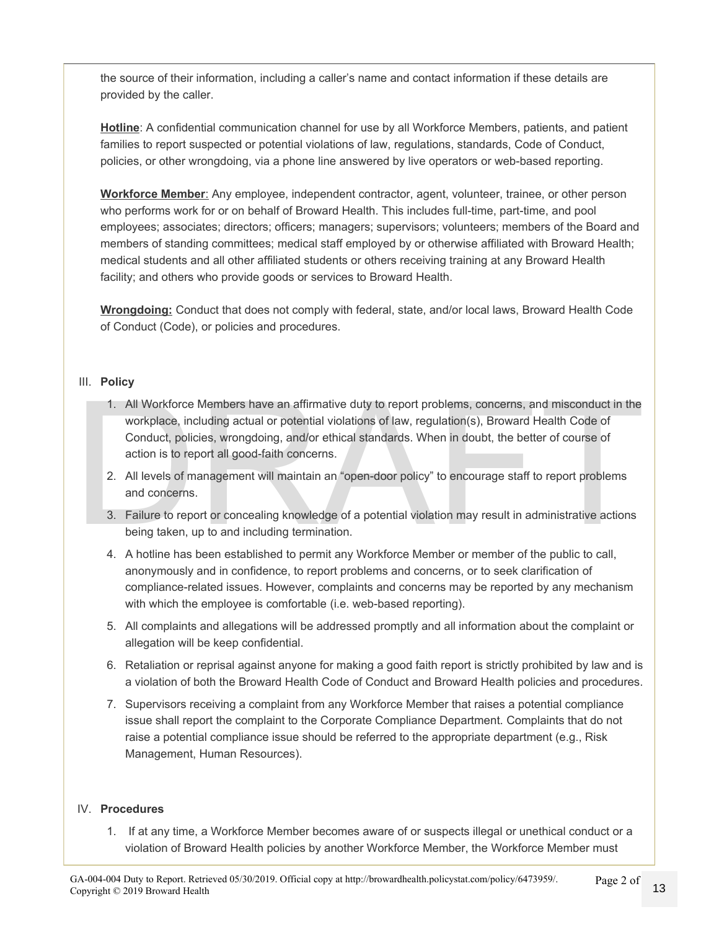the source of their information, including a caller's name and contact information if these details are provided by the caller.

Hotline: A confidential communication channel for use by all Workforce Members, patients, and patient families to report suspected or potential violations of law, regulations, standards, Code of Conduct, policies, or other wrongdoing, via a phone line answered by live operators or web-based reporting.

**Workforce Member**: Any employee, independent contractor, agent, volunteer, trainee, or other person who performs work for or on behalf of Broward Health. This includes full-time, part-time, and pool employees; associates; directors; officers; managers; supervisors; volunteers; members of the Board and members of standing committees; medical staff employed by or otherwise affiliated with Broward Health; medical students and all other affiliated students or others receiving training at any Broward Health facility; and others who provide goods or services to Broward Health.

**Wrongdoing:** Conduct that does not comply with federal, state, and/or local laws, Broward Health Code of Conduct (Code), or policies and procedures.

#### III. **Policy**

- 1. All Workforce Members have an affirmative duty to report problems, concerns, and misconduct in the<br>workplace, including actual or potential violations of law, regulation(s), Broward Health Code of<br>Conduct, policies, wro 1. All Workforce Members have an affirmative duty to report problems, concerns, and misconduct in the workplace, including actual or potential violations of law, regulation(s), Broward Health Code of Conduct, policies, wrongdoing, and/or ethical standards. When in doubt, the better of course of action is to report all good-faith concerns.
	- 2. All levels of management will maintain an "open-door policy" to encourage staff to report problems and concerns.
	- 3. Failure to report or concealing knowledge of a potential violation may result in administrative actions being taken, up to and including termination.
	- 4. A hotline has been established to permit any Workforce Member or member of the public to call, anonymously and in confidence, to report problems and concerns, or to seek clarification of compliance-related issues. However, complaints and concerns may be reported by any mechanism with which the employee is comfortable (i.e. web-based reporting).
	- 5. All complaints and allegations will be addressed promptly and all information about the complaint or allegation will be keep confidential.
	- 6. Retaliation or reprisal against anyone for making a good faith report is strictly prohibited by law and is a violation of both the Broward Health Code of Conduct and Broward Health policies and procedures.
	- 7. Supervisors receiving a complaint from any Workforce Member that raises a potential compliance issue shall report the complaint to the Corporate Compliance Department. Complaints that do not raise a potential compliance issue should be referred to the appropriate department (e.g., Risk Management, Human Resources).

#### IV. **Procedures**

1. If at any time, a Workforce Member becomes aware of or suspects illegal or unethical conduct or a violation of Broward Health policies by another Workforce Member, the Workforce Member must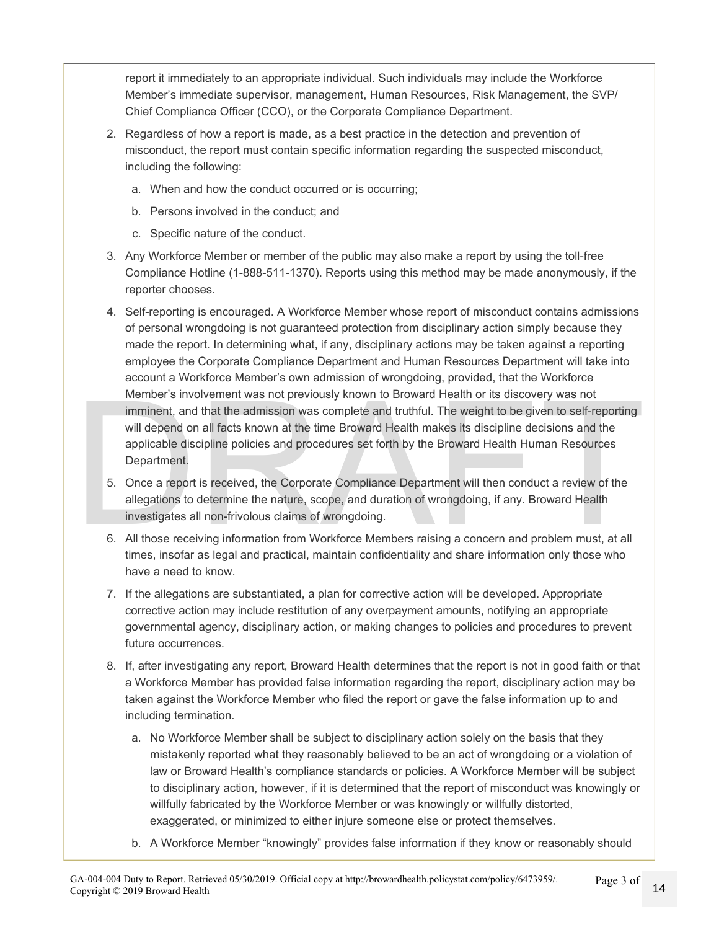report it immediately to an appropriate individual. Such individuals may include the Workforce Member's immediate supervisor, management, Human Resources, Risk Management, the SVP/ Chief Compliance Officer (CCO), or the Corporate Compliance Department.

- 2. Regardless of how a report is made, as a best practice in the detection and prevention of misconduct, the report must contain specific information regarding the suspected misconduct, including the following:
	- a. When and how the conduct occurred or is occurring;
	- b. Persons involved in the conduct; and
	- c. Specific nature of the conduct.
- 3. Any Workforce Member or member of the public may also make a report by using the toll-free Compliance Hotline (1-888-511-1370). Reports using this method may be made anonymously, if the reporter chooses.
- Member's involvement was not previously known to Broward Health or its discovery was not<br>imminent, and that the admission was complete and truthful. The weight to be given to self-reporting<br>will depend on all facts known a 4. Self-reporting is encouraged. A Workforce Member whose report of misconduct contains admissions of personal wrongdoing is not guaranteed protection from disciplinary action simply because they made the report. In determining what, if any, disciplinary actions may be taken against a reporting employee the Corporate Compliance Department and Human Resources Department will take into account a Workforce Member's own admission of wrongdoing, provided, that the Workforce Member's involvement was not previously known to Broward Health or its discovery was not imminent, and that the admission was complete and truthful. The weight to be given to self-reporting will depend on all facts known at the time Broward Health makes its discipline decisions and the applicable discipline policies and procedures set forth by the Broward Health Human Resources Department.
	- 5. Once a report is received, the Corporate Compliance Department will then conduct a review of the allegations to determine the nature, scope, and duration of wrongdoing, if any. Broward Health investigates all non-frivolous claims of wrongdoing.
	- 6. All those receiving information from Workforce Members raising a concern and problem must, at all times, insofar as legal and practical, maintain confidentiality and share information only those who have a need to know.
	- 7. If the allegations are substantiated, a plan for corrective action will be developed. Appropriate corrective action may include restitution of any overpayment amounts, notifying an appropriate governmental agency, disciplinary action, or making changes to policies and procedures to prevent future occurrences.
	- 8. If, after investigating any report, Broward Health determines that the report is not in good faith or that a Workforce Member has provided false information regarding the report, disciplinary action may be taken against the Workforce Member who filed the report or gave the false information up to and including termination.
		- a. No Workforce Member shall be subject to disciplinary action solely on the basis that they mistakenly reported what they reasonably believed to be an act of wrongdoing or a violation of law or Broward Health's compliance standards or policies. A Workforce Member will be subject to disciplinary action, however, if it is determined that the report of misconduct was knowingly or willfully fabricated by the Workforce Member or was knowingly or willfully distorted, exaggerated, or minimized to either injure someone else or protect themselves.
		- b. A Workforce Member "knowingly" provides false information if they know or reasonably should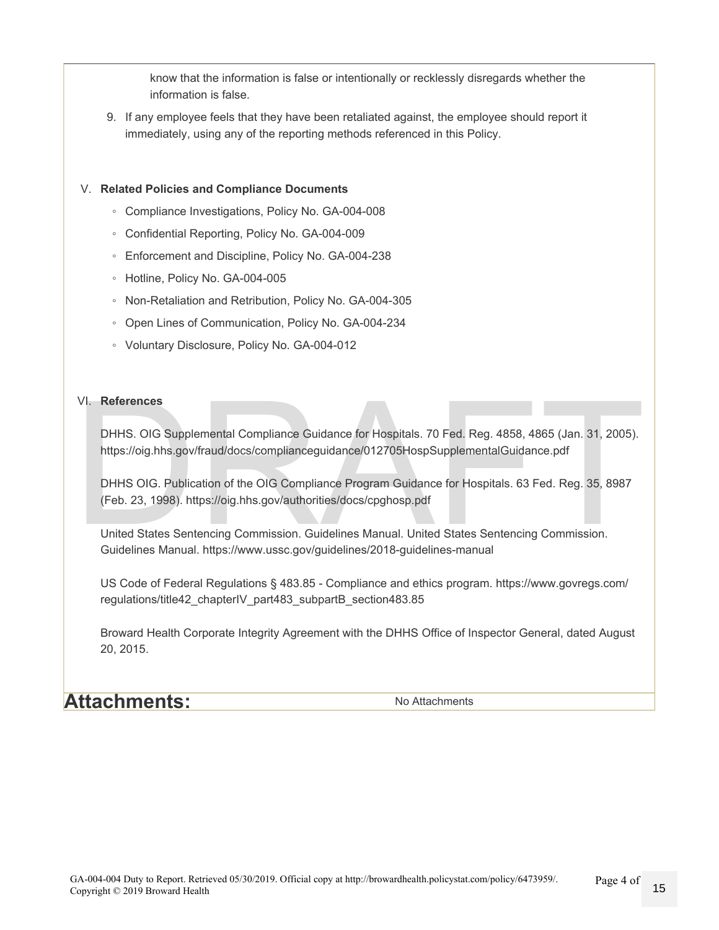know that the information is false or intentionally or recklessly disregards whether the information is false.

9. If any employee feels that they have been retaliated against, the employee should report it immediately, using any of the reporting methods referenced in this Policy.

#### V. **Related Policies and Compliance Documents**

- Compliance Investigations, Policy No. GA-004-008
- Confidential Reporting, Policy No. GA-004-009
- Enforcement and Discipline, Policy No. GA-004-238
- Hotline, Policy No. GA-004-005
- Non-Retaliation and Retribution, Policy No. GA-004-305
- Open Lines of Communication, Policy No. GA-004-234
- Voluntary Disclosure, Policy No. GA-004-012

#### VI. **References**

DHHS. OIG Supplemental Compliance Guidance for Hospitals. 70 Fed. Reg. 4858, 4865 (Jan. 31, 2005). https://oig.hhs.gov/fraud/docs/complianceguidance/012705HospSupplementalGuidance.pdf

VI. References<br>
DHHS. OIG Supplemental Compliance Guidance for Hospitals. 70 Fed. Reg. 4858, 4865 (Jan. 31, 2005).<br>
https://oig.hhs.gov/fraud/docs/complianceguidance/012705HospSupplementalGuidance.pdf<br>
DHHS OIG. Publicatio DHHS OIG. Publication of the OIG Compliance Program Guidance for Hospitals. 63 Fed. Reg. 35, 8987 (Feb. 23, 1998). https://oig.hhs.gov/authorities/docs/cpghosp.pdf

United States Sentencing Commission. Guidelines Manual. United States Sentencing Commission. Guidelines Manual. https://www.ussc.gov/guidelines/2018-guidelines-manual

US Code of Federal Regulations § 483.85 - Compliance and ethics program. https://www.govregs.com/ regulations/title42\_chapterIV\_part483\_subpartB\_section483.85

Broward Health Corporate Integrity Agreement with the DHHS Office of Inspector General, dated August 20, 2015.

**Attachments:** No Attachments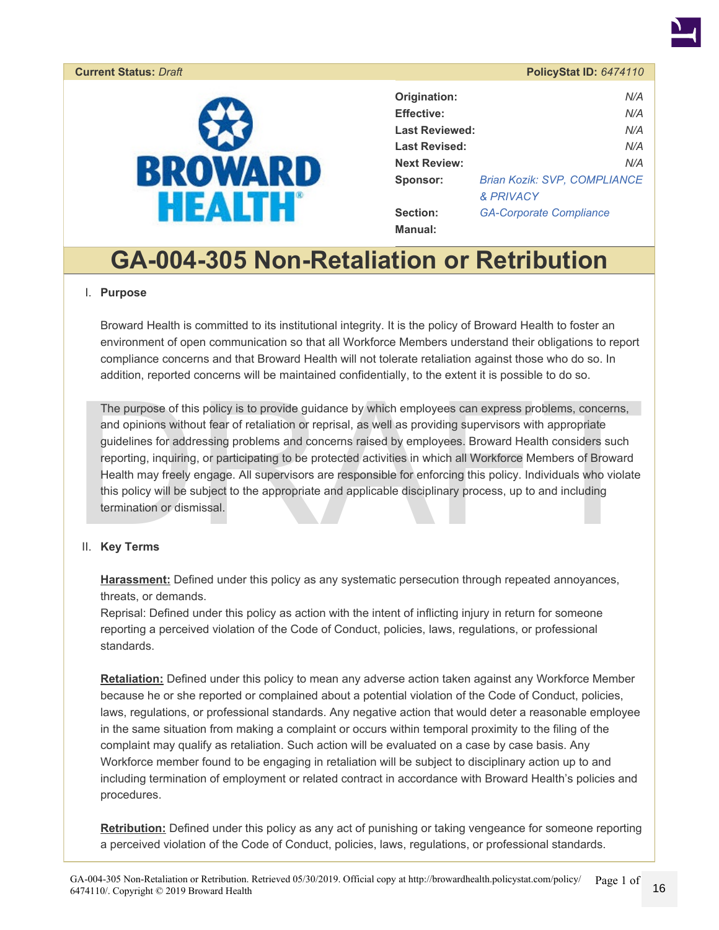#### <span id="page-15-0"></span>**Current Status: Draft**



| PolicyStat ID: 6474110 |  |  |  |  |
|------------------------|--|--|--|--|
|                        |  |  |  |  |

| Origination:          | N/A                                 |
|-----------------------|-------------------------------------|
| <b>Effective:</b>     | N/A                                 |
| <b>Last Reviewed:</b> | N/A                                 |
| <b>Last Revised:</b>  | N/A                                 |
| <b>Next Review:</b>   | N/A                                 |
| Sponsor:              | <b>Brian Kozik: SVP. COMPLIANCE</b> |
|                       | <b>&amp; PRIVACY</b>                |
| Section:              | <b>GA-Corporate Compliance</b>      |
| <b>Manual:</b>        |                                     |

# **GA-004-305 Non-Retaliation or Retribution**

#### I. **Purpose**

Broward Health is committed to its institutional integrity. It is the policy of Broward Health to foster an environment of open communication so that all Workforce Members understand their obligations to report compliance concerns and that Broward Health will not tolerate retaliation against those who do so. In addition, reported concerns will be maintained confidentially, to the extent it is possible to do so.

The purpose of this policy is to provide guidance by which employees can express problems, concerns, and opinions without fear of retaliation or reprisal, as well as providing supervisors with appropriate guidelines for ad The purpose of this policy is to provide guidance by which employees can express problems, concerns, and opinions without fear of retaliation or reprisal, as well as providing supervisors with appropriate guidelines for addressing problems and concerns raised by employees. Broward Health considers such reporting, inquiring, or participating to be protected activities in which all Workforce Members of Broward Health may freely engage. All supervisors are responsible for enforcing this policy. Individuals who violate this policy will be subject to the appropriate and applicable disciplinary process, up to and including termination or dismissal.

#### II. **Key Terms**

**Harassment:** Defined under this policy as any systematic persecution through repeated annoyances, threats, or demands.

Reprisal: Defined under this policy as action with the intent of inflicting injury in return for someone reporting a perceived violation of the Code of Conduct, policies, laws, regulations, or professional standards.

**Retaliation:** Defined under this policy to mean any adverse action taken against any Workforce Member because he or she reported or complained about a potential violation of the Code of Conduct, policies, laws, regulations, or professional standards. Any negative action that would deter a reasonable employee in the same situation from making a complaint or occurs within temporal proximity to the filing of the complaint may qualify as retaliation. Such action will be evaluated on a case by case basis. Any Workforce member found to be engaging in retaliation will be subject to disciplinary action up to and including termination of employment or related contract in accordance with Broward Health's policies and procedures.

**Retribution:** Defined under this policy as any act of punishing or taking vengeance for someone reporting a perceived violation of the Code of Conduct, policies, laws, regulations, or professional standards.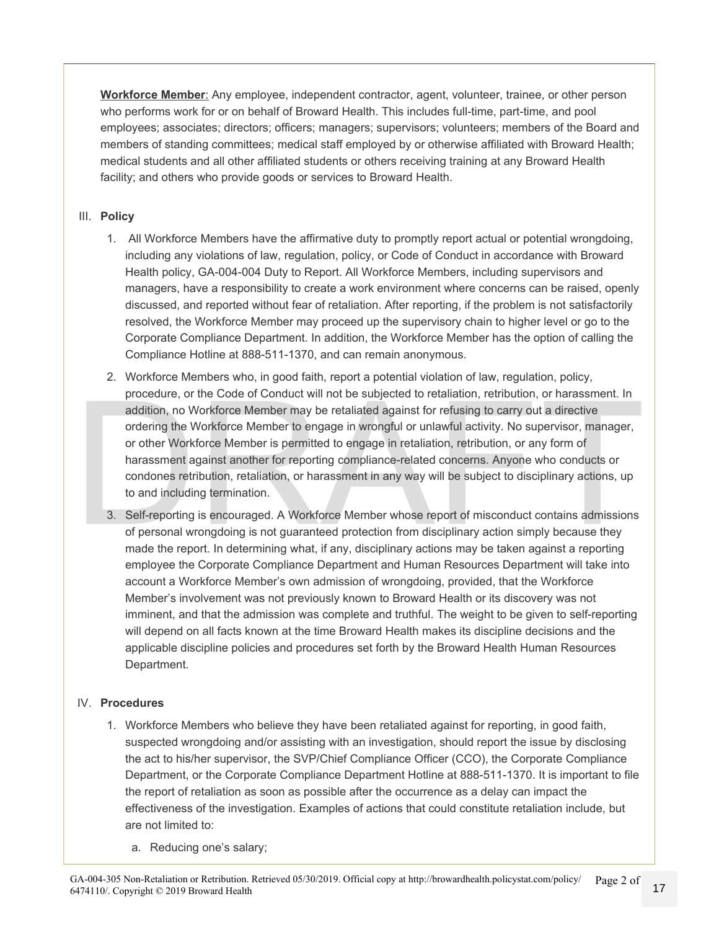**Workforce Member**: Any employee, independent contractor, agent, volunteer, trainee, or other person who performs work for or on behalf of Broward Health. This includes full-time, part-time, and pool employees; associates; directors; officers; managers; supervisors; volunteers; members of the Board and members of standing committees; medical staff employed by or otherwise affiliated with Broward Health; medical students and all other affiliated students or others receiving training at any Broward Health facility; and others who provide goods or services to Broward Health.

#### III. **Policy**

- 1. All Workforce Members have the affirmative duty to promptly report actual or potential wrongdoing, including any violations of law, regulation, policy, or Code of Conduct in accordance with Broward Health policy, GA-004-004 Duty to Report. All Workforce Members, including supervisors and managers, have a responsibility to create a work environment where concerns can be raised, openly discussed, and reported without fear of retaliation. After reporting, if the problem is not satisfactorily resolved, the Workforce Member may proceed up the supervisory chain to higher level or go to the Corporate Compliance Department. In addition, the Workforce Member has the option of calling the Compliance Hotline at 888-511-1370, and can remain anonymous.
- procedure, or the Code of Conduct will not be subjected to retaliation, retribution, or harassment. In addition, no Workforce Member may be retaliated against for refusing to carry out a directive ordering the Workforce Me 2. Workforce Members who, in good faith, report a potential violation of law, regulation, policy, procedure, or the Code of Conduct will not be subjected to retaliation, retribution, or harassment. In addition, no Workforce Member may be retaliated against for refusing to carry out a directive ordering the Workforce Member to engage in wrongful or unlawful activity. No supervisor, manager, or other Workforce Member is permitted to engage in retaliation, retribution, or any form of harassment against another for reporting compliance-related concerns. Anyone who conducts or condones retribution, retaliation, or harassment in any way will be subject to disciplinary actions, up to and including termination.
	- 3. Self-reporting is encouraged. A Workforce Member whose report of misconduct contains admissions of personal wrongdoing is not guaranteed protection from disciplinary action simply because they made the report. In determining what, if any, disciplinary actions may be taken against a reporting employee the Corporate Compliance Department and Human Resources Department will take into account a Workforce Member's own admission of wrongdoing, provided, that the Workforce Member's involvement was not previously known to Broward Health or its discovery was not imminent, and that the admission was complete and truthful. The weight to be given to self-reporting will depend on all facts known at the time Broward Health makes its discipline decisions and the applicable discipline policies and procedures set forth by the Broward Health Human Resources Department.

#### IV. **Procedures**

- 1. Workforce Members who believe they have been retaliated against for reporting, in good faith, suspected wrongdoing and/or assisting with an investigation, should report the issue by disclosing the act to his/her supervisor, the SVP/Chief Compliance Officer (CCO), the Corporate Compliance Department, or the Corporate Compliance Department Hotline at 888-511-1370. It is important to file the report of retaliation as soon as possible after the occurrence as a delay can impact the effectiveness of the investigation. Examples of actions that could constitute retaliation include, but are not limited to:
	- a. Reducing one's salary;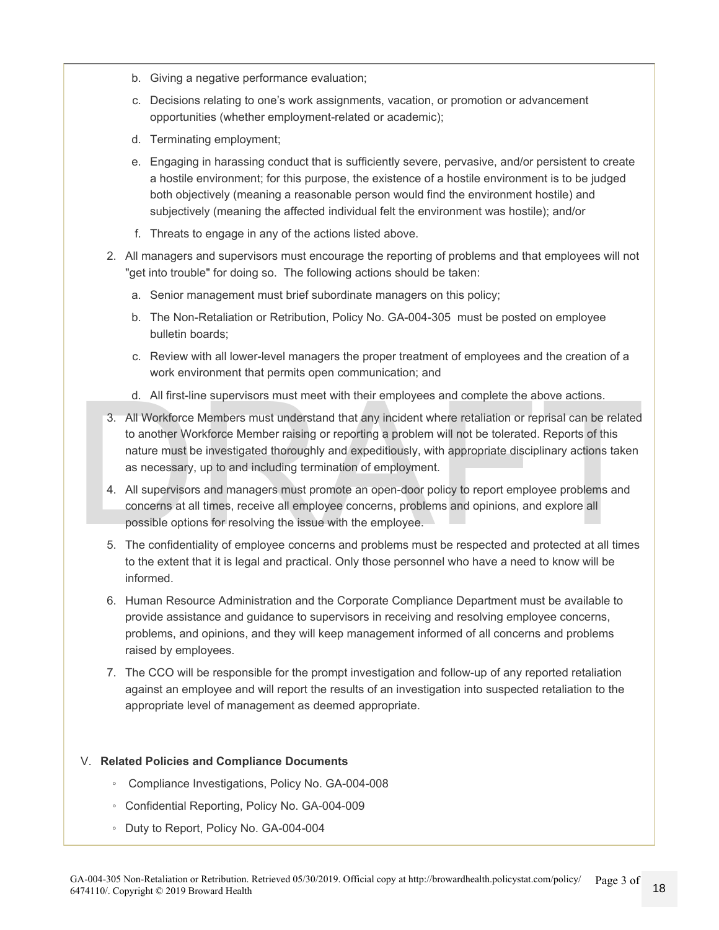- b. Giving a negative performance evaluation;
- c. Decisions relating to one's work assignments, vacation, or promotion or advancement opportunities (whether employment-related or academic);
- d. Terminating employment;
- e. Engaging in harassing conduct that is sufficiently severe, pervasive, and/or persistent to create a hostile environment; for this purpose, the existence of a hostile environment is to be judged both objectively (meaning a reasonable person would find the environment hostile) and subjectively (meaning the affected individual felt the environment was hostile); and/or
- f. Threats to engage in any of the actions listed above.
- 2. All managers and supervisors must encourage the reporting of problems and that employees will not "get into trouble" for doing so. The following actions should be taken:
	- a. Senior management must brief subordinate managers on this policy;
	- b. The Non-Retaliation or Retribution, Policy No. GA-004-305 must be posted on employee bulletin boards;
	- c. Review with all lower-level managers the proper treatment of employees and the creation of a work environment that permits open communication; and
	- d. All first-line supervisors must meet with their employees and complete the above actions.
- d. All first-line supervisors must meet with their employees and complete the above actions.<br>3. All Workforce Members must understand that any incident where retaliation or reprisal can be related<br>to another Workforce Memb 3. All Workforce Members must understand that any incident where retaliation or reprisal can be related to another Workforce Member raising or reporting a problem will not be tolerated. Reports of this nature must be investigated thoroughly and expeditiously, with appropriate disciplinary actions taken as necessary, up to and including termination of employment.
	- 4. All supervisors and managers must promote an open-door policy to report employee problems and concerns at all times, receive all employee concerns, problems and opinions, and explore all possible options for resolving the issue with the employee.
	- 5. The confidentiality of employee concerns and problems must be respected and protected at all times to the extent that it is legal and practical. Only those personnel who have a need to know will be informed.
	- 6. Human Resource Administration and the Corporate Compliance Department must be available to provide assistance and guidance to supervisors in receiving and resolving employee concerns, problems, and opinions, and they will keep management informed of all concerns and problems raised by employees.
	- 7. The CCO will be responsible for the prompt investigation and follow-up of any reported retaliation against an employee and will report the results of an investigation into suspected retaliation to the appropriate level of management as deemed appropriate.

#### V. **Related Policies and Compliance Documents**

- Compliance Investigations, Policy No. GA-004-008
- Confidential Reporting, Policy No. GA-004-009
- Duty to Report, Policy No. GA-004-004